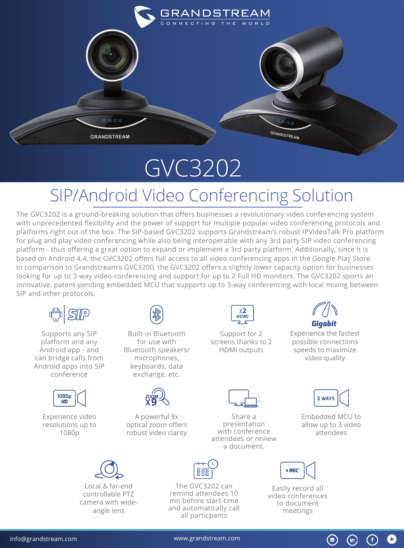

## GVC3202

## SIP/Android Video Conferencing Solution

The GVC3202 is a ground-breaking solution that offers businesses a revolutionary video conferencing system with unprecedented flexibility and the power of support for multiple popular video conferencing protocols and platforms right out of the box. The SIP-based GVC3202 supports Grandstream's robust IPVideoTalk Pro platform for plug and play video conferencing while also being interoperable with any 3rd party SIP video conferencing platform - thus offering a great option to expand or implement a 3rd party platform. Additionally, since it is based on Android 4.4, the GVC3202 offers full access to all video conferencing apps in the Google Play Store. In comparison to Grandstream's GVC3200, the GVC3202 offers a slightly lower capacity option for businesses looking for up to 3-way video-conferencing and support for up to 2 Full HD monitors. The GVC3202 sports an innovative, patent-pending embedded MCU that supports up to 3-way conferencing with local mixing between SIP and other protocols.



Supports any SIP platform and any Android app - and can bridge calls from Android apps into SIP conference



Experience video resolutions up to 1080p



Built-in Bluetooth for use with Bluetooth speakers/ microphones, keyboards, data exchange, etc.



A powerful 9x optical zoom offers robust video clarity



Support for 2 screens thanks to 2 HDMI outputs

Share a presentation with conference attendees or review a document.



Experience the fastest possible connections speeds to maximize video quality

| c.<br>۷A۷ |  |
|-----------|--|
|           |  |

Embedded MCU to allow up to 3 video attendees

 $\circledast$ 

(f

 $(in)$ 



Local & far-end controllable PTZ camera with wideangle lens



The GVC3202 can remind attendees 10 mn before start-time and automatically call all particpants

 $\bullet$  REC